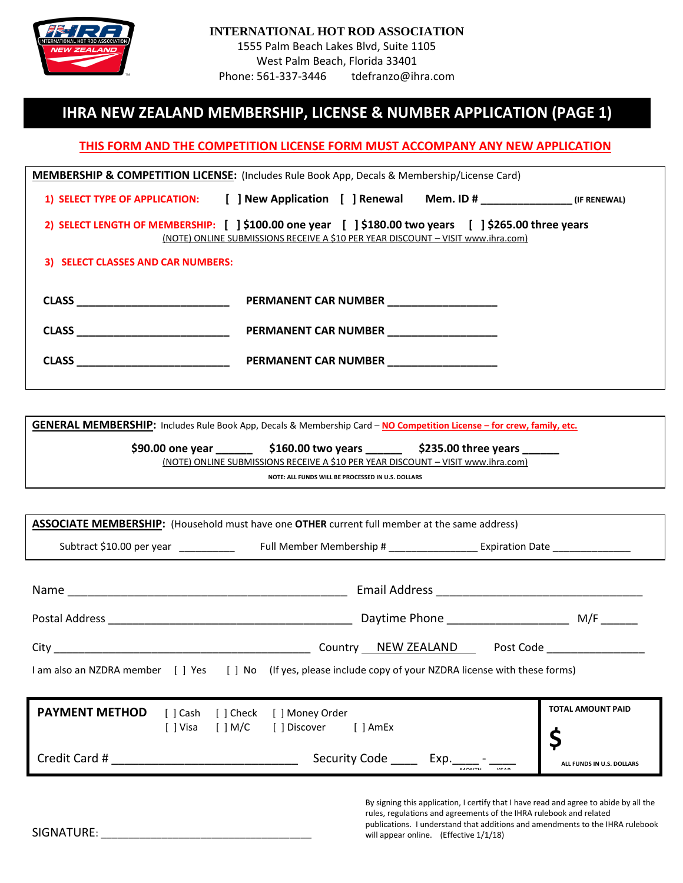

## **IHRA NEW ZEALAND MEMBERSHIP, LICENSE & NUMBER APPLICATION (PAGE 1)**

## **THIS FORM AND THE COMPETITION LICENSE FORM MUST ACCOMPANY ANY NEW APPLICATION**

| MEMBERSHIP & COMPETITION LICENSE: (Includes Rule Book App, Decals & Membership/License Card) |                                                                                                                                                                                                                                      |  |  |  |  |  |  |
|----------------------------------------------------------------------------------------------|--------------------------------------------------------------------------------------------------------------------------------------------------------------------------------------------------------------------------------------|--|--|--|--|--|--|
|                                                                                              | 1) SELECT TYPE OF APPLICATION: [ ] New Application [ ] Renewal Mem. ID # [IF RENEWAL]                                                                                                                                                |  |  |  |  |  |  |
|                                                                                              | 2) SELECT LENGTH OF MEMBERSHIP: [ ] \$100.00 one year [ ] \$180.00 two years [ ] \$265.00 three years<br>(NOTE) ONLINE SUBMISSIONS RECEIVE A \$10 PER YEAR DISCOUNT - VISIT www.ihra.com)                                            |  |  |  |  |  |  |
| 3) SELECT CLASSES AND CAR NUMBERS:                                                           |                                                                                                                                                                                                                                      |  |  |  |  |  |  |
| <b>CLASS CLASS</b>                                                                           | PERMANENT CAR NUMBER                                                                                                                                                                                                                 |  |  |  |  |  |  |
| CLASS <b>CLASS</b>                                                                           | <b>PERMANENT CAR NUMBER</b>                                                                                                                                                                                                          |  |  |  |  |  |  |
| CLASS <b>Example 20</b>                                                                      | PERMANENT CAR NUMBER <b>NAME OF STATE OF STATE OF STATE OF STATE OF STATE OF STATE OF STATE OF STATE OF STATE OF STATE OF STATE OF STATE OF STATE OF STATE OF STATE OF STATE OF STATE OF STATE OF STATE OF STATE OF STATE OF STA</b> |  |  |  |  |  |  |

**GENERAL MEMBERSHIP:** Includes Rule Book App, Decals & Membership Card – **NO Competition License – for crew, family, etc.**

**\$90.00 one year \_\_\_\_\_\_ \$160.00 two years \_\_\_\_\_\_ \$235.00 three years \_\_\_\_\_\_** (NOTE) ONLINE SUBMISSIONS RECEIVE A \$10 PER YEAR DISCOUNT – VISIT www.ihra.com)

**NOTE: ALL FUNDS WILL BE PROCESSED IN U.S. DOLLARS**

| <b>ASSOCIATE MEMBERSHIP:</b> (Household must have one <b>OTHER</b> current full member at the same address)     |  |  |                                                                       |  |  |  |                                                                                       |
|-----------------------------------------------------------------------------------------------------------------|--|--|-----------------------------------------------------------------------|--|--|--|---------------------------------------------------------------------------------------|
| Subtract \$10.00 per year _____________  Full Member Membership # ________________ Expiration Date ____________ |  |  |                                                                       |  |  |  |                                                                                       |
|                                                                                                                 |  |  |                                                                       |  |  |  |                                                                                       |
|                                                                                                                 |  |  |                                                                       |  |  |  |                                                                                       |
|                                                                                                                 |  |  |                                                                       |  |  |  |                                                                                       |
| I am also an NZDRA member [ ] Yes [ ] No (If yes, please include copy of your NZDRA license with these forms)   |  |  |                                                                       |  |  |  |                                                                                       |
| <b>PAYMENT METHOD</b>                                                                                           |  |  | [] Cash [] Check [] Money Order<br>[] Visa [] M/C [] Discover [] AmEx |  |  |  | <b>TOTAL AMOUNT PAID</b>                                                              |
|                                                                                                                 |  |  |                                                                       |  |  |  | ALL FUNDS IN U.S. DOLLARS                                                             |
|                                                                                                                 |  |  |                                                                       |  |  |  | By signing this application, I certify that I have read and agree to abide by all the |

rules, regulations and agreements of the IHRA rulebook and related publications. I understand that additions and amendments to the IHRA rulebook will appear online. (Effective 1/1/18)

SIGNATURE: \_\_\_\_\_\_\_\_\_\_\_\_\_\_\_\_\_\_\_\_\_\_\_\_\_\_\_\_\_\_\_\_\_\_\_\_\_\_